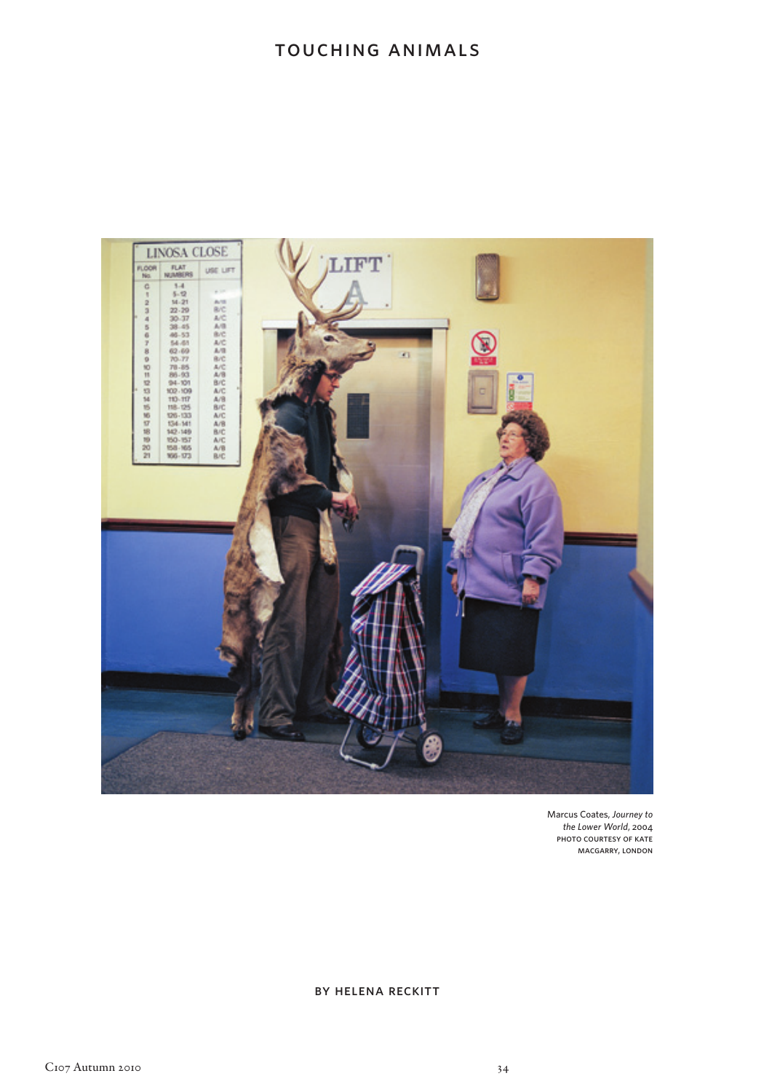

Marcus Coates, *Journey to the Lower World*, 2004 photo courtesy of kate macgarry, london

## by helena reckitt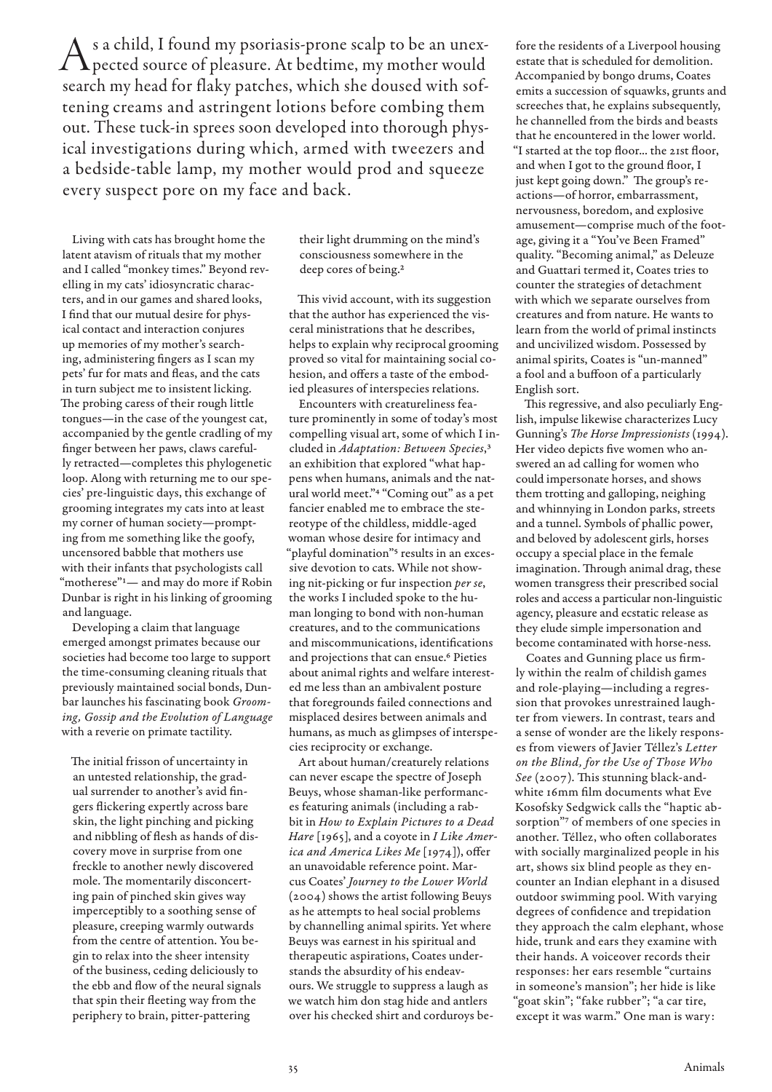$A<sup>s</sup>$  a child, I found my psoriasis-prone scalp to be an unex-<br>pected source of pleasure. At bedtime, my mother would search my head for flaky patches, which she doused with softening creams and astringent lotions before combing them out. These tuck-in sprees soon developed into thorough physical investigations during which, armed with tweezers and a bedside-table lamp, my mother would prod and squeeze every suspect pore on my face and back.

Living with cats has brought home the latent atavism of rituals that my mother and I called "monkey times." Beyond revelling in my cats' idiosyncratic characters, and in our games and shared looks, I find that our mutual desire for physical contact and interaction conjures up memories of my mother's searching, administering fingers as I scan my pets' fur for mats and fleas, and the cats in turn subject me to insistent licking. The probing caress of their rough little tongues—in the case of the youngest cat, accompanied by the gentle cradling of my finger between her paws, claws carefully retracted—completes this phylogenetic loop. Along with returning me to our species' pre-linguistic days, this exchange of grooming integrates my cats into at least my corner of human society—prompting from me something like the goofy, uncensored babble that mothers use with their infants that psychologists call "motherese"1— and may do more if Robin Dunbar is right in his linking of grooming and language.

Developing a claim that language emerged amongst primates because our societies had become too large to support the time-consuming cleaning rituals that previously maintained social bonds, Dunbar launches his fascinating book *Grooming, Gossip and the Evolution of Language*  with a reverie on primate tactility.

The initial frisson of uncertainty in an untested relationship, the gradual surrender to another's avid fingers flickering expertly across bare skin, the light pinching and picking and nibbling of flesh as hands of discovery move in surprise from one freckle to another newly discovered mole. The momentarily disconcerting pain of pinched skin gives way imperceptibly to a soothing sense of pleasure, creeping warmly outwards from the centre of attention. You begin to relax into the sheer intensity of the business, ceding deliciously to the ebb and flow of the neural signals that spin their fleeting way from the periphery to brain, pitter-pattering

their light drumming on the mind's consciousness somewhere in the deep cores of being.2

This vivid account, with its suggestion that the author has experienced the visceral ministrations that he describes, helps to explain why reciprocal grooming proved so vital for maintaining social cohesion, and offers a taste of the embodied pleasures of interspecies relations.

Encounters with creatureliness feature prominently in some of today's most compelling visual art, some of which I included in *Adaptation: Between Species*,3 an exhibition that explored "what happens when humans, animals and the natural world meet."4 "Coming out" as a pet fancier enabled me to embrace the stereotype of the childless, middle-aged woman whose desire for intimacy and "playful domination"<sup>5</sup> results in an excessive devotion to cats. While not showing nit-picking or fur inspection *per se*, the works I included spoke to the human longing to bond with non-human creatures, and to the communications and miscommunications, identifications and projections that can ensue.6 Pieties about animal rights and welfare interested me less than an ambivalent posture that foregrounds failed connections and misplaced desires between animals and humans, as much as glimpses of interspecies reciprocity or exchange.

Art about human/creaturely relations can never escape the spectre of Joseph Beuys, whose shaman-like performances featuring animals (including a rabbit in *How to Explain Pictures to a Dead Hare* [1965], and a coyote in *I Like America and America Likes Me* [1974]), offer an unavoidable reference point. Marcus Coates' *Journey to the Lower World*  (2004) shows the artist following Beuys as he attempts to heal social problems by channelling animal spirits. Yet where Beuys was earnest in his spiritual and therapeutic aspirations, Coates understands the absurdity of his endeavours. We struggle to suppress a laugh as we watch him don stag hide and antlers over his checked shirt and corduroys before the residents of a Liverpool housing estate that is scheduled for demolition. Accompanied by bongo drums, Coates emits a succession of squawks, grunts and screeches that, he explains subsequently, he channelled from the birds and beasts that he encountered in the lower world. "I started at the top floor... the 21st floor, and when I got to the ground floor, I just kept going down." The group's reactions—of horror, embarrassment, nervousness, boredom, and explosive amusement—comprise much of the footage, giving it a "You've Been Framed" quality. "Becoming animal," as Deleuze and Guattari termed it, Coates tries to counter the strategies of detachment with which we separate ourselves from creatures and from nature. He wants to learn from the world of primal instincts and uncivilized wisdom. Possessed by animal spirits, Coates is "un-manned" a fool and a buffoon of a particularly English sort.

This regressive, and also peculiarly English, impulse likewise characterizes Lucy Gunning's *The Horse Impressionists* (1994). Her video depicts five women who answered an ad calling for women who could impersonate horses, and shows them trotting and galloping, neighing and whinnying in London parks, streets and a tunnel. Symbols of phallic power, and beloved by adolescent girls, horses occupy a special place in the female imagination. Through animal drag, these women transgress their prescribed social roles and access a particular non-linguistic agency, pleasure and ecstatic release as they elude simple impersonation and become contaminated with horse-ness.

Coates and Gunning place us firmly within the realm of childish games and role-playing—including a regression that provokes unrestrained laughter from viewers. In contrast, tears and a sense of wonder are the likely responses from viewers of Javier Téllez's *Letter on the Blind, for the Use of Those Who See* (2007). This stunning black-andwhite 16mm film documents what Eve Kosofsky Sedgwick calls the "haptic absorption"7 of members of one species in another. Téllez, who often collaborates with socially marginalized people in his art, shows six blind people as they encounter an Indian elephant in a disused outdoor swimming pool. With varying degrees of confidence and trepidation they approach the calm elephant, whose hide, trunk and ears they examine with their hands. A voiceover records their responses: her ears resemble "curtains in someone's mansion"; her hide is like "goat skin"; "fake rubber"; "a car tire, except it was warm." One man is wary: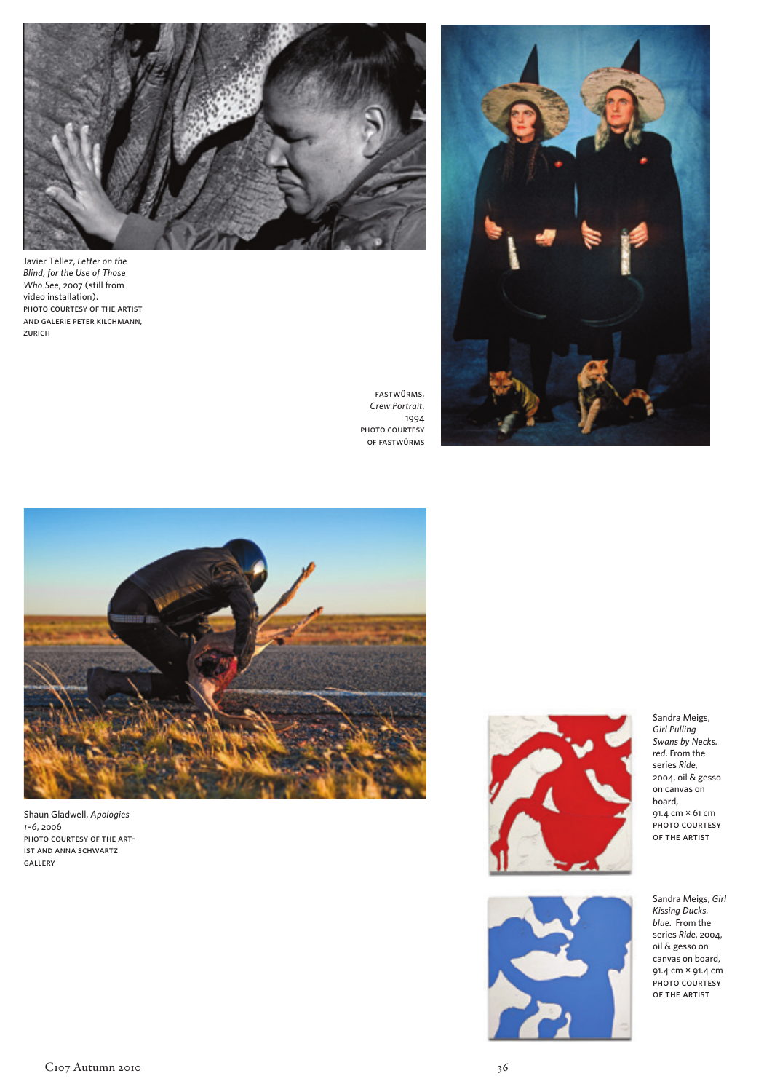

Javier Téllez, *Letter on the Blind, for the Use of Those Who See*, 2007 (still from video installation). photo courtesy of the artist and galerie peter kilchmann, zurich

fastwürms, *Crew Portrait*, 1994 PHOTO COURTESY of fastwürms





Shaun Gladwell, *Apologies 1–6*, 2006 photo courtesy of the artist and anna schwartz gallery





Sandra Meigs, *Girl Pulling Swans by Necks. red*. From the series *Ride*, 2004, oil & gesso on canvas on board, 91.4 cm × 61 cm PHOTO COURTESY of the artist

Sandra Meigs, *Girl Kissing Ducks. blue*. From the series *Ride*, 2004, oil & gesso on canvas on board, 91.4 cm  $\times$  91.4 cm photo courtesy of the artist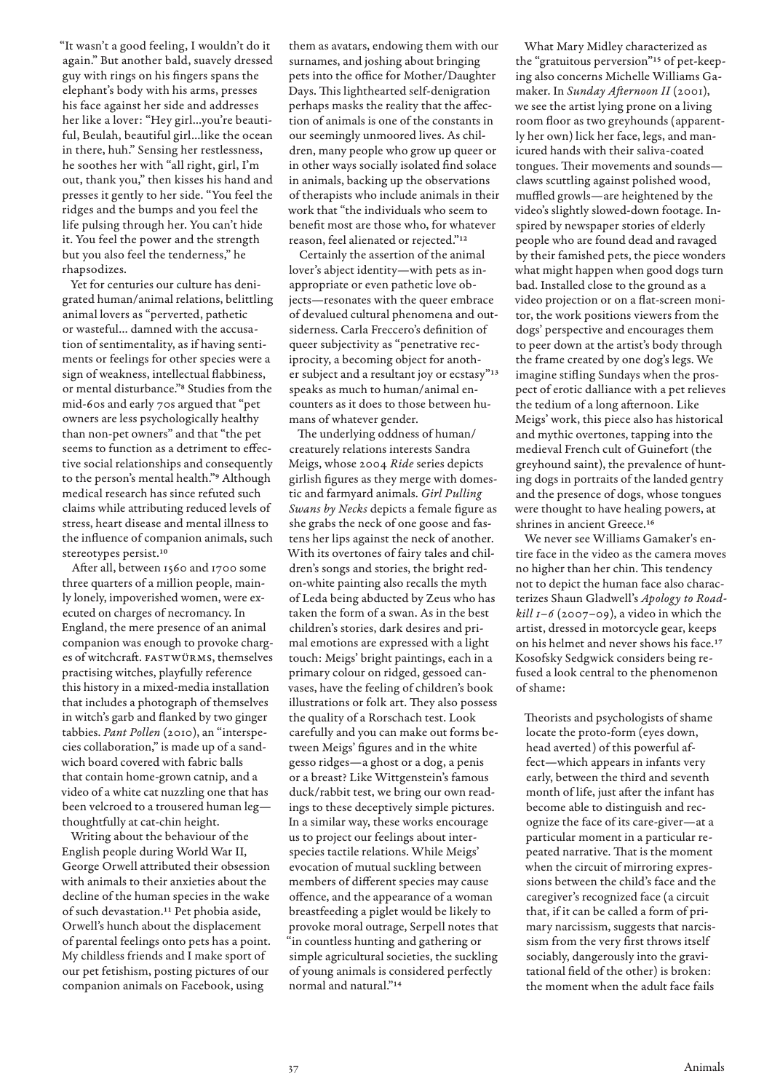"It wasn't a good feeling, I wouldn't do it again." But another bald, suavely dressed guy with rings on his fingers spans the elephant's body with his arms, presses his face against her side and addresses her like a lover: "Hey girl…you're beautiful, Beulah, beautiful girl…like the ocean in there, huh." Sensing her restlessness, he soothes her with "all right, girl, I'm out, thank you," then kisses his hand and presses it gently to her side. "You feel the ridges and the bumps and you feel the life pulsing through her. You can't hide it. You feel the power and the strength but you also feel the tenderness," he rhapsodizes.

Yet for centuries our culture has denigrated human/animal relations, belittling animal lovers as "perverted, pathetic or wasteful… damned with the accusation of sentimentality, as if having sentiments or feelings for other species were a sign of weakness, intellectual flabbiness, or mental disturbance."8 Studies from the mid-60s and early 70s argued that "pet owners are less psychologically healthy than non-pet owners" and that "the pet seems to function as a detriment to effective social relationships and consequently to the person's mental health."9 Although medical research has since refuted such claims while attributing reduced levels of stress, heart disease and mental illness to the influence of companion animals, such stereotypes persist.<sup>10</sup>

After all, between 1560 and 1700 some three quarters of a million people, mainly lonely, impoverished women, were executed on charges of necromancy. In England, the mere presence of an animal companion was enough to provoke charges of witchcraft. fastwürms, themselves practising witches, playfully reference this history in a mixed-media installation that includes a photograph of themselves in witch's garb and flanked by two ginger tabbies. *Pant Pollen* (2010), an "interspecies collaboration," is made up of a sandwich board covered with fabric balls that contain home-grown catnip, and a video of a white cat nuzzling one that has been velcroed to a trousered human leg thoughtfully at cat-chin height.

Writing about the behaviour of the English people during World War II, George Orwell attributed their obsession with animals to their anxieties about the decline of the human species in the wake of such devastation.11 Pet phobia aside, Orwell's hunch about the displacement of parental feelings onto pets has a point. My childless friends and I make sport of our pet fetishism, posting pictures of our companion animals on Facebook, using

them as avatars, endowing them with our surnames, and joshing about bringing pets into the office for Mother/Daughter Days. This lighthearted self-denigration perhaps masks the reality that the affection of animals is one of the constants in our seemingly unmoored lives. As children, many people who grow up queer or in other ways socially isolated find solace in animals, backing up the observations of therapists who include animals in their work that "the individuals who seem to benefit most are those who, for whatever reason, feel alienated or rejected."12

Certainly the assertion of the animal lover's abject identity—with pets as inappropriate or even pathetic love objects—resonates with the queer embrace of devalued cultural phenomena and outsiderness. Carla Freccero's definition of queer subjectivity as "penetrative reciprocity, a becoming object for another subject and a resultant joy or ecstasy"13 speaks as much to human/animal encounters as it does to those between humans of whatever gender.

The underlying oddness of human/ creaturely relations interests Sandra Meigs, whose 2004 *Ride* series depicts girlish figures as they merge with domestic and farmyard animals. *Girl Pulling Swans by Necks* depicts a female figure as she grabs the neck of one goose and fastens her lips against the neck of another. With its overtones of fairy tales and children's songs and stories, the bright redon-white painting also recalls the myth of Leda being abducted by Zeus who has taken the form of a swan. As in the best children's stories, dark desires and primal emotions are expressed with a light touch: Meigs' bright paintings, each in a primary colour on ridged, gessoed canvases, have the feeling of children's book illustrations or folk art. They also possess the quality of a Rorschach test. Look carefully and you can make out forms between Meigs' figures and in the white gesso ridges—a ghost or a dog, a penis or a breast? Like Wittgenstein's famous duck/rabbit test, we bring our own readings to these deceptively simple pictures. In a similar way, these works encourage us to project our feelings about interspecies tactile relations. While Meigs' evocation of mutual suckling between members of different species may cause offence, and the appearance of a woman breastfeeding a piglet would be likely to provoke moral outrage, Serpell notes that "in countless hunting and gathering or simple agricultural societies, the suckling of young animals is considered perfectly normal and natural."14

What Mary Midley characterized as the "gratuitous perversion"15 of pet-keeping also concerns Michelle Williams Gamaker. In *Sunday Afternoon II* (2001), we see the artist lying prone on a living room floor as two greyhounds (apparently her own) lick her face, legs, and manicured hands with their saliva-coated tongues. Their movements and sounds claws scuttling against polished wood, muffled growls—are heightened by the video's slightly slowed-down footage. Inspired by newspaper stories of elderly people who are found dead and ravaged by their famished pets, the piece wonders what might happen when good dogs turn bad. Installed close to the ground as a video projection or on a flat-screen monitor, the work positions viewers from the dogs' perspective and encourages them to peer down at the artist's body through the frame created by one dog's legs. We imagine stifling Sundays when the prospect of erotic dalliance with a pet relieves the tedium of a long afternoon. Like Meigs' work, this piece also has historical and mythic overtones, tapping into the medieval French cult of Guinefort (the greyhound saint), the prevalence of hunting dogs in portraits of the landed gentry and the presence of dogs, whose tongues were thought to have healing powers, at shrines in ancient Greece.16

We never see Williams Gamaker's entire face in the video as the camera moves no higher than her chin. This tendency not to depict the human face also characterizes Shaun Gladwell's *Apology to Road* $kill I-6 (2007-09)$ , a video in which the artist, dressed in motorcycle gear, keeps on his helmet and never shows his face.17 Kosofsky Sedgwick considers being refused a look central to the phenomenon of shame:

Theorists and psychologists of shame locate the proto-form (eyes down, head averted) of this powerful affect—which appears in infants very early, between the third and seventh month of life, just after the infant has become able to distinguish and recognize the face of its care-giver—at a particular moment in a particular repeated narrative. That is the moment when the circuit of mirroring expressions between the child's face and the caregiver's recognized face (a circuit that, if it can be called a form of primary narcissism, suggests that narcissism from the very first throws itself sociably, dangerously into the gravitational field of the other) is broken: the moment when the adult face fails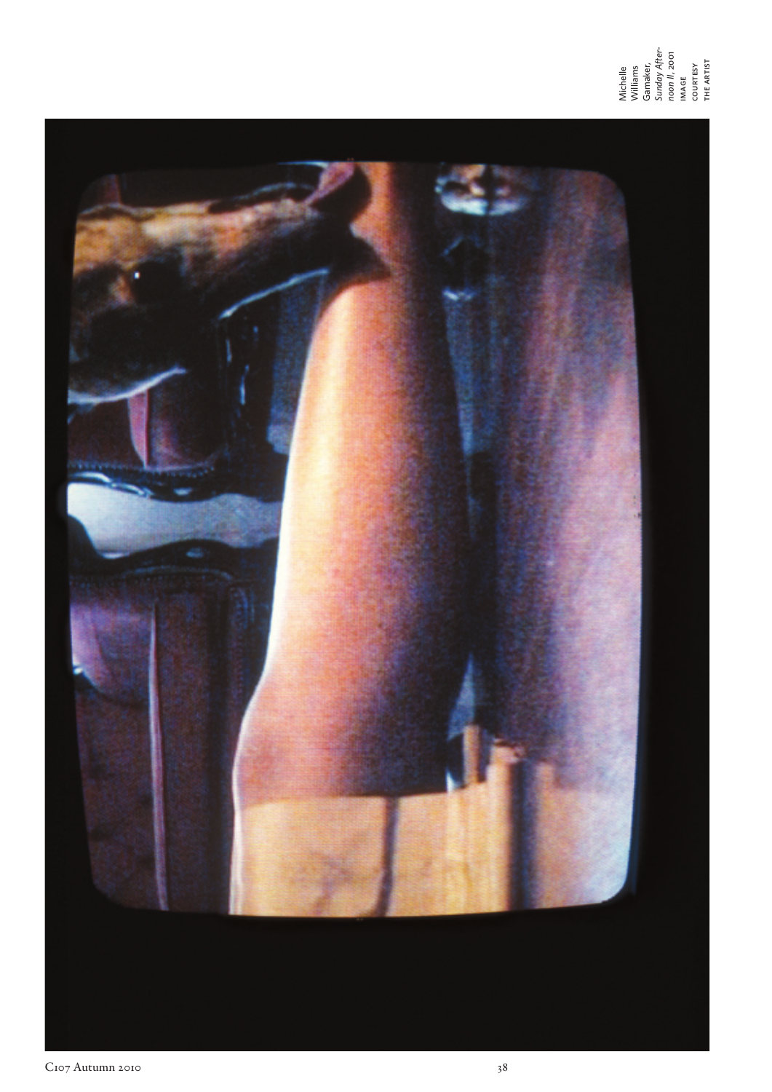## Michelle Williams Gamaker,<br>Su*nday Af*<br>noon II, 20<br>IMAGE *Sunday Afternoon II*, 2001 courtesy the artist